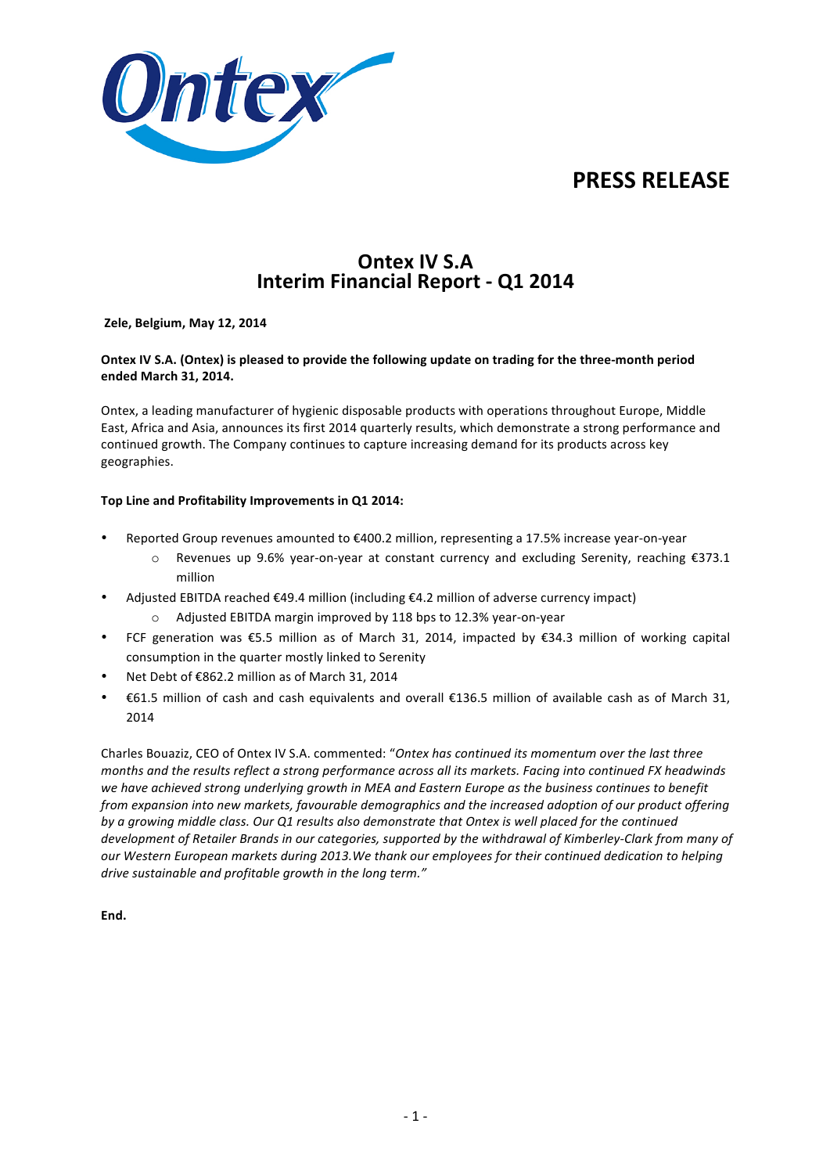



# **Ontex IV S.A. Interim Financial Report - Q1 2014**

### **Zele, Belgium, May 12, 2014**

## Ontex IV S.A. (Ontex) is pleased to provide the following update on trading for the three-month period **ended March 31, 2014.**

Ontex, a leading manufacturer of hygienic disposable products with operations throughout Europe, Middle East, Africa and Asia, announces its first 2014 quarterly results, which demonstrate a strong performance and continued growth. The Company continues to capture increasing demand for its products across key geographies.

### Top Line and Profitability Improvements in Q1 2014:

- Reported Group revenues amounted to €400.2 million, representing a 17.5% increase year-on-year
	- o Revenues up 9.6% year-on-year at constant currency and excluding Serenity, reaching €373.1 million
- Adjusted EBITDA reached €49.4 million (including €4.2 million of adverse currency impact)
	- Adjusted EBITDA margin improved by 118 bps to 12.3% year-on-year
- FCF generation was  $\epsilon$ 5.5 million as of March 31, 2014, impacted by  $\epsilon$ 34.3 million of working capital consumption in the quarter mostly linked to Serenity
- Net Debt of €862.2 million as of March 31, 2014
- $\epsilon$ 61.5 million of cash and cash equivalents and overall  $\epsilon$ 136.5 million of available cash as of March 31, 2014

Charles Bouaziz, CEO of Ontex IV S.A. commented: "Ontex has continued its momentum over the last three *months and the results reflect a strong performance across all its markets. Facing into continued FX headwinds* we have achieved strong underlying growth in MEA and Eastern Europe as the business continues to benefit *from expansion* into new markets, favourable demographics and the increased adoption of our product offering *by* a growing middle class. Our Q1 results also demonstrate that Ontex is well placed for the continued development of Retailer Brands in our categories, supported by the withdrawal of Kimberley-Clark from many of our Western European markets during 2013.We thank our employees for their continued dedication to helping *drive sustainable and profitable growth in the long term."* 

**End.**